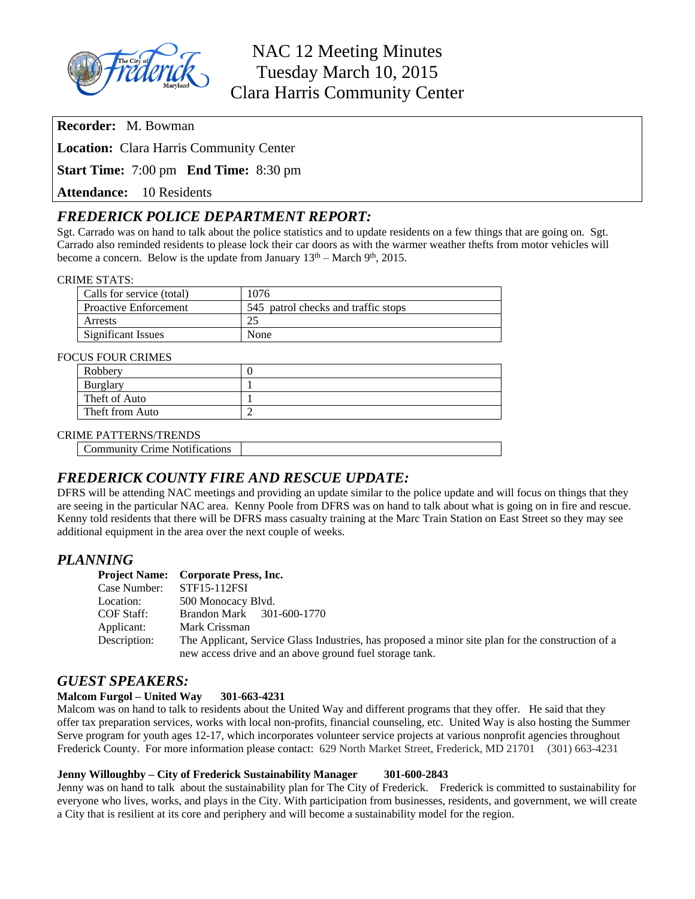

**Recorder:** M. Bowman

**Location:** Clara Harris Community Center

**Start Time:** 7:00 pm **End Time:** 8:30 pm

**Attendance:** 10 Residents

# *FREDERICK POLICE DEPARTMENT REPORT:*

Sgt. Carrado was on hand to talk about the police statistics and to update residents on a few things that are going on. Sgt. Carrado also reminded residents to please lock their car doors as with the warmer weather thefts from motor vehicles will become a concern. Below is the update from January  $13<sup>th</sup>$  – March 9<sup>th</sup>, 2015.

#### CRIME STATS:

| Calls for service (total)    | 1076                                |
|------------------------------|-------------------------------------|
| <b>Proactive Enforcement</b> | 545 patrol checks and traffic stops |
| Arrests                      | 25                                  |
| Significant Issues           | None                                |

#### FOCUS FOUR CRIMES

| Robbery         |  |
|-----------------|--|
| Burglary        |  |
| Theft of Auto   |  |
| Theft from Auto |  |

#### CRIME PATTERNS/TRENDS

Community Crime Notifications

## *FREDERICK COUNTY FIRE AND RESCUE UPDATE:*

DFRS will be attending NAC meetings and providing an update similar to the police update and will focus on things that they are seeing in the particular NAC area. Kenny Poole from DFRS was on hand to talk about what is going on in fire and rescue. Kenny told residents that there will be DFRS mass casualty training at the Marc Train Station on East Street so they may see additional equipment in the area over the next couple of weeks.

## *PLANNING*

|              | <b>Project Name:</b> Corporate Press, Inc.                                                                                                                   |
|--------------|--------------------------------------------------------------------------------------------------------------------------------------------------------------|
| Case Number: | STF15-112FSI                                                                                                                                                 |
| Location:    | 500 Monocacy Blvd.                                                                                                                                           |
| COF Staff:   | Brandon Mark 301-600-1770                                                                                                                                    |
| Applicant:   | Mark Crissman                                                                                                                                                |
| Description: | The Applicant, Service Glass Industries, has proposed a minor site plan for the construction of a<br>new access drive and an above ground fuel storage tank. |

## *GUEST SPEAKERS:*

#### **Malcom Furgol – United Way 301-663-4231**

Malcom was on hand to talk to residents about the United Way and different programs that they offer. He said that they offer tax preparation services, works with local non-profits, financial counseling, etc. United Way is also hosting the Summer Serve program for youth ages 12-17, which incorporates volunteer service projects at various nonprofit agencies throughout Frederick County. For more information please contact: 629 North Market Street, Frederick, MD 21701 (301) 663-4231

#### **Jenny Willoughby – City of Frederick Sustainability Manager 301-600-2843**

Jenny was on hand to talk about the sustainability plan for The City of Frederick. Frederick is committed to sustainability for everyone who lives, works, and plays in the City. With participation from businesses, residents, and government, we will create a City that is resilient at its core and periphery and will become a sustainability model for the region.